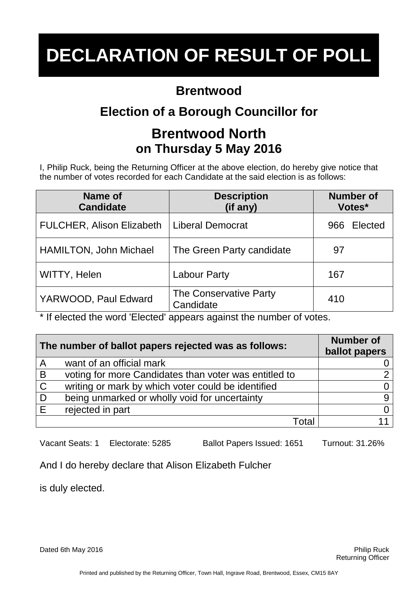#### **Brentwood**

## **Election of a Borough Councillor for**

### **Brentwood North on Thursday 5 May 2016**

I, Philip Ruck, being the Returning Officer at the above election, do hereby give notice that the number of votes recorded for each Candidate at the said election is as follows:

| Name of<br><b>Candidate</b>      | <b>Description</b><br>(if any)      | <b>Number of</b><br>Votes* |
|----------------------------------|-------------------------------------|----------------------------|
| <b>FULCHER, Alison Elizabeth</b> | <b>Liberal Democrat</b>             | Elected<br>966             |
| <b>HAMILTON, John Michael</b>    | The Green Party candidate           | 97                         |
| WITTY, Helen                     | <b>Labour Party</b>                 | 167                        |
| YARWOOD, Paul Edward             | The Conservative Party<br>Candidate | 410                        |

\* If elected the word 'Elected' appears against the number of votes.

| The number of ballot papers rejected was as follows: |                                                       | <b>Number of</b><br>ballot papers |
|------------------------------------------------------|-------------------------------------------------------|-----------------------------------|
| $\mathsf{A}$                                         | want of an official mark                              |                                   |
| $\overline{B}$                                       | voting for more Candidates than voter was entitled to |                                   |
| $\mathsf{C}$                                         | writing or mark by which voter could be identified    |                                   |
| D                                                    | being unmarked or wholly void for uncertainty         |                                   |
| E                                                    | rejected in part                                      |                                   |
|                                                      | Total                                                 |                                   |

Vacant Seats: 1 Electorate: 5285 Ballot Papers Issued: 1651 Turnout: 31.26%

And I do hereby declare that Alison Elizabeth Fulcher

is duly elected.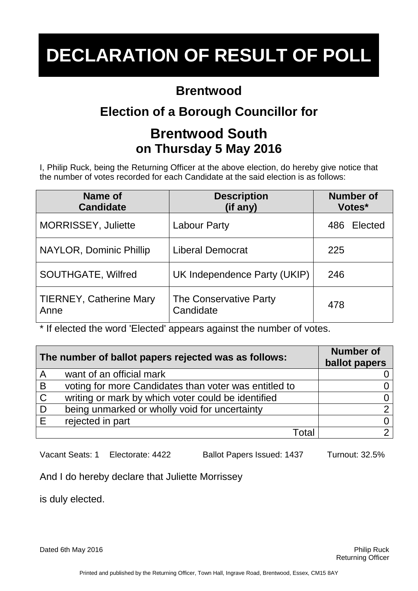#### **Brentwood**

## **Election of a Borough Councillor for**

### **Brentwood South on Thursday 5 May 2016**

I, Philip Ruck, being the Returning Officer at the above election, do hereby give notice that the number of votes recorded for each Candidate at the said election is as follows:

| Name of<br><b>Candidate</b>            | <b>Description</b><br>(if any)      | <b>Number of</b><br>Votes* |
|----------------------------------------|-------------------------------------|----------------------------|
| <b>MORRISSEY, Juliette</b>             | <b>Labour Party</b>                 | Elected<br>486             |
| NAYLOR, Dominic Phillip                | <b>Liberal Democrat</b>             | 225                        |
| <b>SOUTHGATE, Wilfred</b>              | UK Independence Party (UKIP)        | 246                        |
| <b>TIERNEY, Catherine Mary</b><br>Anne | The Conservative Party<br>Candidate | 478                        |

\* If elected the word 'Elected' appears against the number of votes.

| The number of ballot papers rejected was as follows: |                                                       | <b>Number of</b><br>ballot papers |
|------------------------------------------------------|-------------------------------------------------------|-----------------------------------|
| $\overline{A}$                                       | want of an official mark                              |                                   |
| B                                                    | voting for more Candidates than voter was entitled to |                                   |
| $\mathsf{C}$                                         | writing or mark by which voter could be identified    |                                   |
| D                                                    | being unmarked or wholly void for uncertainty         |                                   |
| E                                                    | rejected in part                                      |                                   |
|                                                      | Total                                                 |                                   |

Vacant Seats: 1 Electorate: 4422 Ballot Papers Issued: 1437 Turnout: 32.5%

And I do hereby declare that Juliette Morrissey

is duly elected.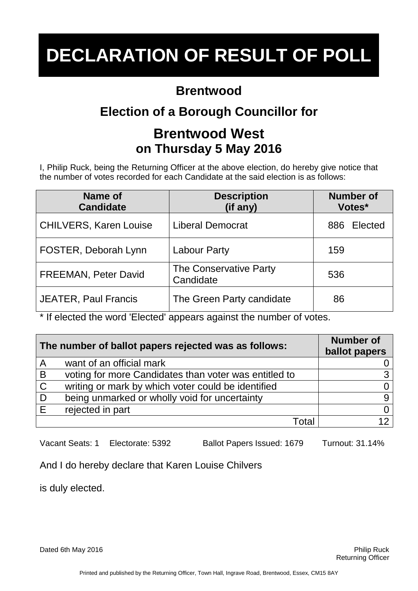#### **Brentwood**

## **Election of a Borough Councillor for**

### **Brentwood West on Thursday 5 May 2016**

I, Philip Ruck, being the Returning Officer at the above election, do hereby give notice that the number of votes recorded for each Candidate at the said election is as follows:

| Name of<br><b>Candidate</b>   | <b>Description</b><br>(if any)      | <b>Number of</b><br>Votes* |
|-------------------------------|-------------------------------------|----------------------------|
| <b>CHILVERS, Karen Louise</b> | <b>Liberal Democrat</b>             | Elected<br>886             |
| FOSTER, Deborah Lynn          | <b>Labour Party</b>                 | 159                        |
| <b>FREEMAN, Peter David</b>   | The Conservative Party<br>Candidate | 536                        |
| <b>JEATER, Paul Francis</b>   | The Green Party candidate           | 86                         |

\* If elected the word 'Elected' appears against the number of votes.

| The number of ballot papers rejected was as follows: |                                                       | <b>Number of</b><br>ballot papers |
|------------------------------------------------------|-------------------------------------------------------|-----------------------------------|
| A                                                    | want of an official mark                              |                                   |
| $\overline{B}$                                       | voting for more Candidates than voter was entitled to |                                   |
| $\mathsf{C}$                                         | writing or mark by which voter could be identified    |                                   |
| ∣D                                                   | being unmarked or wholly void for uncertainty         |                                   |
| E                                                    | rejected in part                                      |                                   |
|                                                      | Total                                                 |                                   |

Vacant Seats: 1 Electorate: 5392 Ballot Papers Issued: 1679 Turnout: 31.14%

And I do hereby declare that Karen Louise Chilvers

is duly elected.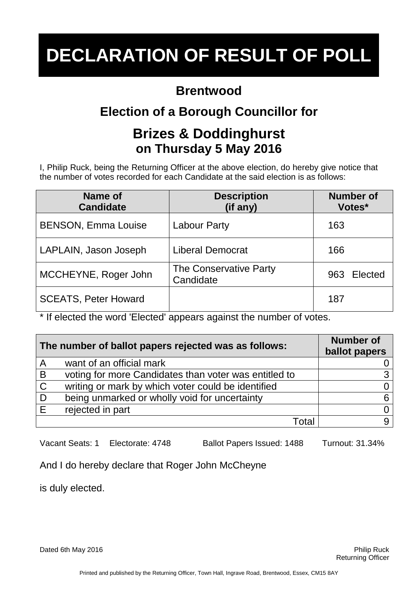#### **Brentwood**

## **Election of a Borough Councillor for**

### **Brizes & Doddinghurst on Thursday 5 May 2016**

I, Philip Ruck, being the Returning Officer at the above election, do hereby give notice that the number of votes recorded for each Candidate at the said election is as follows:

| Name of<br><b>Candidate</b> | <b>Description</b><br>(if any)      | <b>Number of</b><br>Votes* |
|-----------------------------|-------------------------------------|----------------------------|
| <b>BENSON, Emma Louise</b>  | <b>Labour Party</b>                 | 163                        |
| LAPLAIN, Jason Joseph       | <b>Liberal Democrat</b>             | 166                        |
| MCCHEYNE, Roger John        | The Conservative Party<br>Candidate | Elected<br>963             |
| <b>SCEATS, Peter Howard</b> |                                     | 187                        |

\* If elected the word 'Elected' appears against the number of votes.

| The number of ballot papers rejected was as follows: |                                                       | <b>Number of</b><br>ballot papers |
|------------------------------------------------------|-------------------------------------------------------|-----------------------------------|
| A                                                    | want of an official mark                              |                                   |
| $\overline{B}$                                       | voting for more Candidates than voter was entitled to |                                   |
| $\mathsf{C}$                                         | writing or mark by which voter could be identified    |                                   |
| D                                                    | being unmarked or wholly void for uncertainty         |                                   |
| E                                                    | rejected in part                                      |                                   |
|                                                      | Total                                                 |                                   |

Vacant Seats: 1 Electorate: 4748 Ballot Papers Issued: 1488 Turnout: 31.34%

And I do hereby declare that Roger John McCheyne

is duly elected.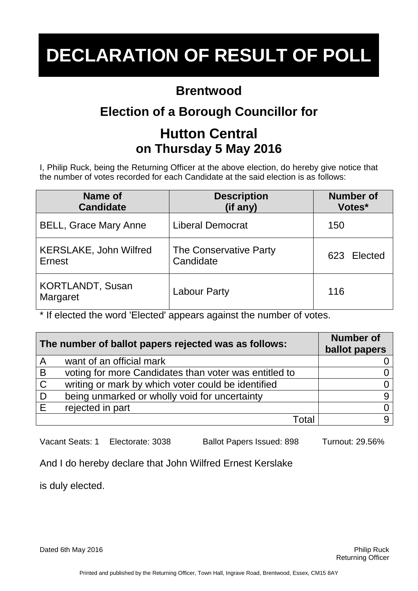#### **Brentwood**

## **Election of a Borough Councillor for**

### **Hutton Central on Thursday 5 May 2016**

I, Philip Ruck, being the Returning Officer at the above election, do hereby give notice that the number of votes recorded for each Candidate at the said election is as follows:

| Name of<br><b>Candidate</b>                | <b>Description</b><br>(if any)      | <b>Number of</b><br>Votes* |
|--------------------------------------------|-------------------------------------|----------------------------|
| <b>BELL, Grace Mary Anne</b>               | <b>Liberal Democrat</b>             | 150                        |
| <b>KERSLAKE, John Wilfred</b><br>Ernest    | The Conservative Party<br>Candidate | 623 Elected                |
| <b>KORTLANDT, Susan</b><br><b>Margaret</b> | <b>Labour Party</b>                 | 116                        |

\* If elected the word 'Elected' appears against the number of votes.

| The number of ballot papers rejected was as follows: |                                                       | <b>Number of</b><br>ballot papers |
|------------------------------------------------------|-------------------------------------------------------|-----------------------------------|
| A                                                    | want of an official mark                              |                                   |
| $\overline{B}$                                       | voting for more Candidates than voter was entitled to |                                   |
| $\overline{C}$                                       | writing or mark by which voter could be identified    |                                   |
| D                                                    | being unmarked or wholly void for uncertainty         |                                   |
| E                                                    | rejected in part                                      |                                   |
|                                                      | Total                                                 |                                   |

Vacant Seats: 1 Electorate: 3038 Ballot Papers Issued: 898 Turnout: 29.56%

And I do hereby declare that John Wilfred Ernest Kerslake

is duly elected.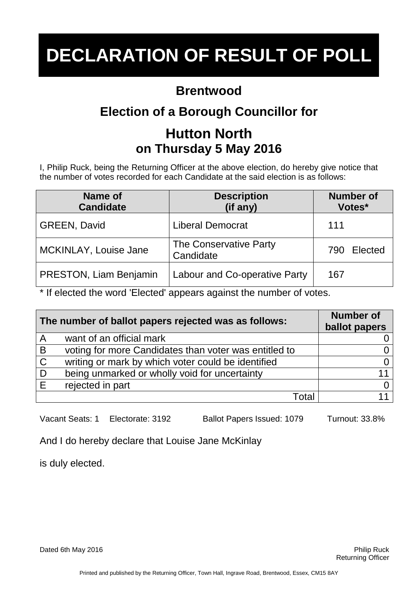#### **Brentwood**

## **Election of a Borough Councillor for**

### **Hutton North on Thursday 5 May 2016**

I, Philip Ruck, being the Returning Officer at the above election, do hereby give notice that the number of votes recorded for each Candidate at the said election is as follows:

| <b>Name of</b><br><b>Candidate</b> | <b>Description</b><br>(if any)       | <b>Number of</b><br>Votes* |
|------------------------------------|--------------------------------------|----------------------------|
| <b>GREEN, David</b>                | <b>Liberal Democrat</b>              | 111                        |
| MCKINLAY, Louise Jane              | The Conservative Party<br>Candidate  | Elected<br>790             |
| <b>PRESTON, Liam Benjamin</b>      | <b>Labour and Co-operative Party</b> | 167                        |

\* If elected the word 'Elected' appears against the number of votes.

| The number of ballot papers rejected was as follows: |                                                       | <b>Number of</b><br>ballot papers |
|------------------------------------------------------|-------------------------------------------------------|-----------------------------------|
| $\overline{A}$                                       | want of an official mark                              |                                   |
| B                                                    | voting for more Candidates than voter was entitled to |                                   |
| $\mathsf{C}$                                         | writing or mark by which voter could be identified    |                                   |
| D                                                    | being unmarked or wholly void for uncertainty         | 11                                |
| E                                                    | rejected in part                                      |                                   |
|                                                      | Total                                                 |                                   |

Vacant Seats: 1 Electorate: 3192 Ballot Papers Issued: 1079 Turnout: 33.8%

And I do hereby declare that Louise Jane McKinlay

is duly elected.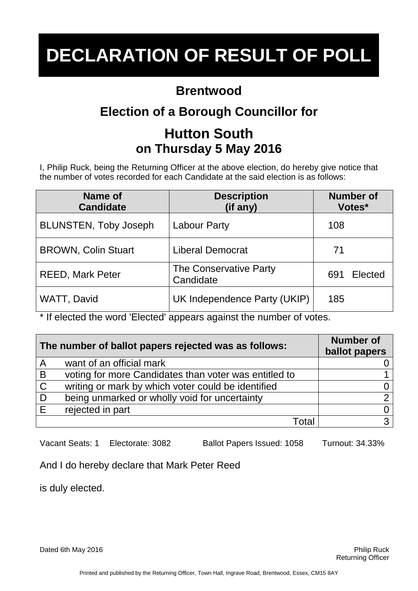#### **Brentwood**

## **Election of a Borough Councillor for**

### **Hutton South on Thursday 5 May 2016**

I, Philip Ruck, being the Returning Officer at the above election, do hereby give notice that the number of votes recorded for each Candidate at the said election is as follows:

| Name of<br><b>Candidate</b>  | <b>Description</b><br>(if any)      | <b>Number of</b><br>Votes* |
|------------------------------|-------------------------------------|----------------------------|
| <b>BLUNSTEN, Toby Joseph</b> | <b>Labour Party</b>                 | 108                        |
| <b>BROWN, Colin Stuart</b>   | <b>Liberal Democrat</b>             | 71                         |
| <b>REED, Mark Peter</b>      | The Conservative Party<br>Candidate | Elected<br>691             |
| WATT, David                  | UK Independence Party (UKIP)        | 185                        |

\* If elected the word 'Elected' appears against the number of votes.

| The number of ballot papers rejected was as follows: |                                                       | <b>Number of</b><br>ballot papers |
|------------------------------------------------------|-------------------------------------------------------|-----------------------------------|
| $\overline{A}$                                       | want of an official mark                              |                                   |
| $\overline{B}$                                       | voting for more Candidates than voter was entitled to |                                   |
| $\mathsf{C}$                                         | writing or mark by which voter could be identified    |                                   |
| ∣D                                                   | being unmarked or wholly void for uncertainty         |                                   |
| E                                                    | rejected in part                                      |                                   |
|                                                      | Total                                                 |                                   |

Vacant Seats: 1 Electorate: 3082 Ballot Papers Issued: 1058 Turnout: 34.33%

And I do hereby declare that Mark Peter Reed

is duly elected.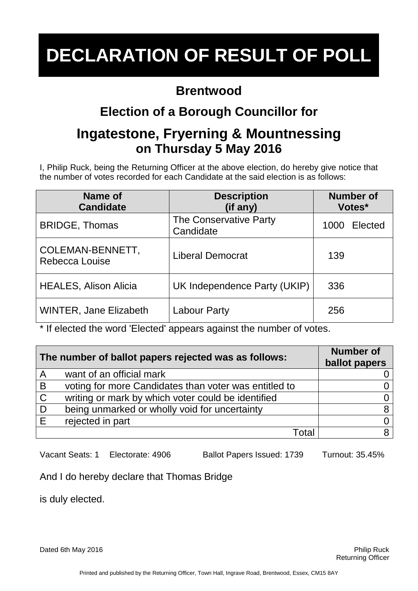#### **Brentwood**

## **Election of a Borough Councillor for**

#### **Ingatestone, Fryerning & Mountnessing on Thursday 5 May 2016**

I, Philip Ruck, being the Returning Officer at the above election, do hereby give notice that the number of votes recorded for each Candidate at the said election is as follows:

| <b>Name of</b><br><b>Candidate</b> | <b>Description</b><br>(if any)      | <b>Number of</b><br>Votes* |
|------------------------------------|-------------------------------------|----------------------------|
| <b>BRIDGE, Thomas</b>              | The Conservative Party<br>Candidate | Elected<br>1000            |
| COLEMAN-BENNETT,<br>Rebecca Louise | <b>Liberal Democrat</b>             | 139                        |
| <b>HEALES, Alison Alicia</b>       | UK Independence Party (UKIP)        | 336                        |
| <b>WINTER, Jane Elizabeth</b>      | <b>Labour Party</b>                 | 256                        |

\* If elected the word 'Elected' appears against the number of votes.

| The number of ballot papers rejected was as follows: |                                                       | <b>Number of</b><br>ballot papers |
|------------------------------------------------------|-------------------------------------------------------|-----------------------------------|
| $\overline{A}$                                       | want of an official mark                              |                                   |
| $\overline{B}$                                       | voting for more Candidates than voter was entitled to |                                   |
| $\overline{C}$                                       | writing or mark by which voter could be identified    |                                   |
| $\overline{D}$                                       | being unmarked or wholly void for uncertainty         |                                   |
| E                                                    | rejected in part                                      |                                   |
|                                                      | Total                                                 |                                   |

Vacant Seats: 1 Electorate: 4906 Ballot Papers Issued: 1739 Turnout: 35.45%

And I do hereby declare that Thomas Bridge

is duly elected.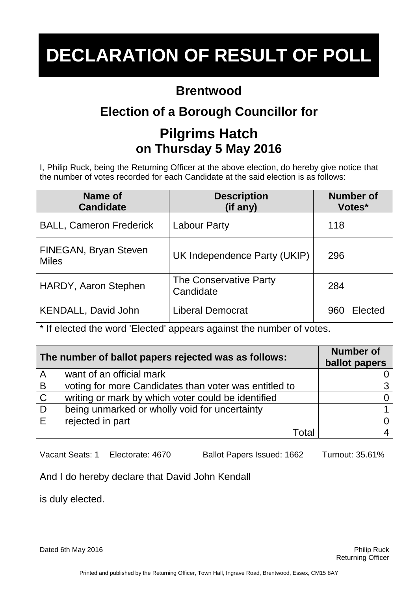### **Brentwood**

## **Election of a Borough Councillor for**

### **Pilgrims Hatch on Thursday 5 May 2016**

I, Philip Ruck, being the Returning Officer at the above election, do hereby give notice that the number of votes recorded for each Candidate at the said election is as follows:

| Name of<br><b>Candidate</b>           | <b>Description</b><br>(if any)      | <b>Number of</b><br>Votes* |
|---------------------------------------|-------------------------------------|----------------------------|
| <b>BALL, Cameron Frederick</b>        | <b>Labour Party</b>                 | 118                        |
| FINEGAN, Bryan Steven<br><b>Miles</b> | UK Independence Party (UKIP)        | 296                        |
| HARDY, Aaron Stephen                  | The Conservative Party<br>Candidate | 284                        |
| <b>KENDALL, David John</b>            | Liberal Democrat                    | Elected<br>960             |

\* If elected the word 'Elected' appears against the number of votes.

| The number of ballot papers rejected was as follows: |                                                       | <b>Number of</b><br>ballot papers |
|------------------------------------------------------|-------------------------------------------------------|-----------------------------------|
| $\overline{A}$                                       | want of an official mark                              |                                   |
| B                                                    | voting for more Candidates than voter was entitled to |                                   |
| $\overline{C}$                                       | writing or mark by which voter could be identified    |                                   |
| D                                                    | being unmarked or wholly void for uncertainty         |                                   |
| E                                                    | rejected in part                                      |                                   |
|                                                      | Total                                                 |                                   |

Vacant Seats: 1 Electorate: 4670 Ballot Papers Issued: 1662 Turnout: 35.61%

And I do hereby declare that David John Kendall

is duly elected.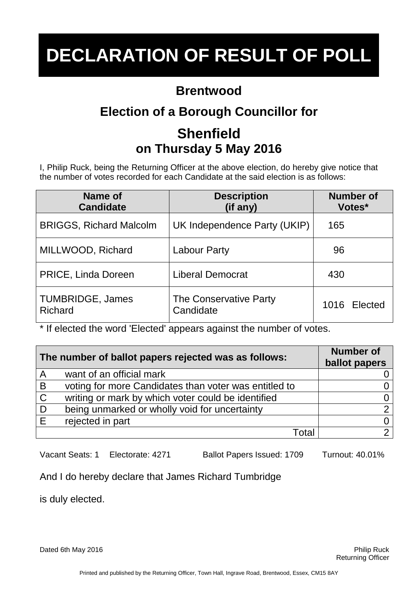### **Brentwood**

## **Election of a Borough Councillor for**

## **Shenfield on Thursday 5 May 2016**

I, Philip Ruck, being the Returning Officer at the above election, do hereby give notice that the number of votes recorded for each Candidate at the said election is as follows:

| Name of<br><b>Candidate</b>               | <b>Description</b><br>(if any)      | <b>Number of</b><br>Votes* |
|-------------------------------------------|-------------------------------------|----------------------------|
| <b>BRIGGS, Richard Malcolm</b>            | UK Independence Party (UKIP)        | 165                        |
| MILLWOOD, Richard                         | <b>Labour Party</b>                 | 96                         |
| PRICE, Linda Doreen                       | <b>Liberal Democrat</b>             | 430                        |
| <b>TUMBRIDGE, James</b><br><b>Richard</b> | The Conservative Party<br>Candidate | 1016 Elected               |

\* If elected the word 'Elected' appears against the number of votes.

| The number of ballot papers rejected was as follows: |                                                       | <b>Number of</b><br>ballot papers |
|------------------------------------------------------|-------------------------------------------------------|-----------------------------------|
| $\overline{A}$                                       | want of an official mark                              |                                   |
| $\overline{B}$                                       | voting for more Candidates than voter was entitled to |                                   |
| $\overline{C}$                                       | writing or mark by which voter could be identified    |                                   |
| $\overline{D}$                                       | being unmarked or wholly void for uncertainty         |                                   |
| E                                                    | rejected in part                                      |                                   |
|                                                      | Total                                                 |                                   |

Vacant Seats: 1 Electorate: 4271 Ballot Papers Issued: 1709 Turnout: 40.01%

And I do hereby declare that James Richard Tumbridge

is duly elected.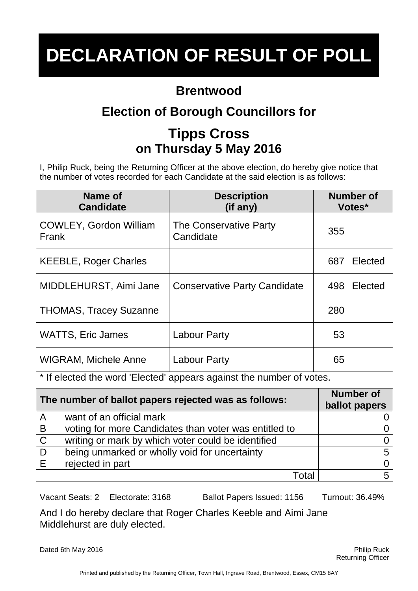#### **Brentwood**

## **Election of Borough Councillors for**

## **Tipps Cross on Thursday 5 May 2016**

I, Philip Ruck, being the Returning Officer at the above election, do hereby give notice that the number of votes recorded for each Candidate at the said election is as follows:

| Name of<br><b>Candidate</b>            | <b>Description</b><br>(if any)      | <b>Number of</b><br>Votes* |
|----------------------------------------|-------------------------------------|----------------------------|
| <b>COWLEY, Gordon William</b><br>Frank | The Conservative Party<br>Candidate | 355                        |
| <b>KEEBLE, Roger Charles</b>           |                                     | Elected<br>687             |
| MIDDLEHURST, Aimi Jane                 | <b>Conservative Party Candidate</b> | Elected<br>498             |
| <b>THOMAS, Tracey Suzanne</b>          |                                     | 280                        |
| <b>WATTS, Eric James</b>               | <b>Labour Party</b>                 | 53                         |
| <b>WIGRAM, Michele Anne</b>            | Labour Party                        | 65                         |

\* If elected the word 'Elected' appears against the number of votes.

| The number of ballot papers rejected was as follows: |                                                       | <b>Number of</b><br>ballot papers |
|------------------------------------------------------|-------------------------------------------------------|-----------------------------------|
| A                                                    | want of an official mark                              |                                   |
| B                                                    | voting for more Candidates than voter was entitled to |                                   |
| $\overline{C}$                                       | writing or mark by which voter could be identified    |                                   |
| ∣D                                                   | being unmarked or wholly void for uncertainty         | 5                                 |
| E                                                    | rejected in part                                      |                                   |
|                                                      | Total                                                 | 5                                 |

Vacant Seats: 2 Electorate: 3168 Ballot Papers Issued: 1156 Turnout: 36.49%

And I do hereby declare that Roger Charles Keeble and Aimi Jane Middlehurst are duly elected.